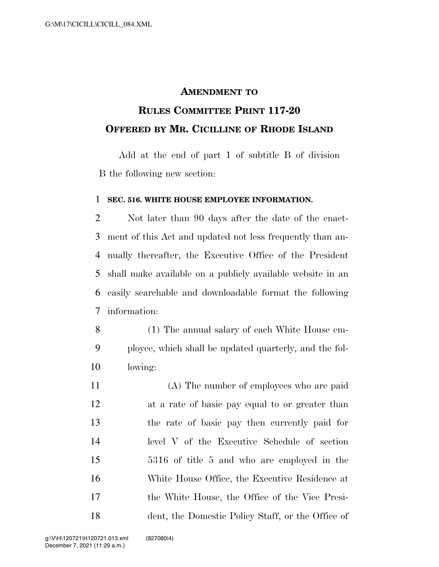## **AMENDMENT TO**

## **RULES COMMITTEE PRINT 117-20 OFFERED BY MR. CICILLINE OF RHODE ISLAND**

Add at the end of part 1 of subtitle B of division B the following new section:

## **SEC. 516. WHITE HOUSE EMPLOYEE INFORMATION.**

 Not later than 90 days after the date of the enact- ment of this Act and updated not less frequently than an- nually thereafter, the Executive Office of the President shall make available on a publicly available website in an easily searchable and downloadable format the following information:

 (1) The annual salary of each White House em- ployee, which shall be updated quarterly, and the fol-lowing:

 (A) The number of employees who are paid at a rate of basic pay equal to or greater than the rate of basic pay then currently paid for level V of the Executive Schedule of section 5316 of title 5 and who are employed in the White House Office, the Executive Residence at the White House, the Office of the Vice Presi-dent, the Domestic Policy Staff, or the Office of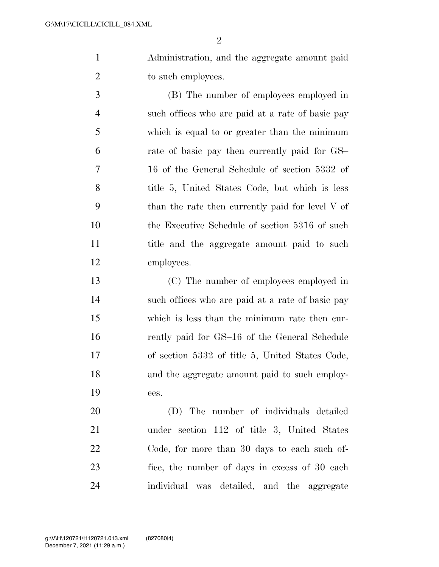$\mathfrak{D}$ 

 Administration, and the aggregate amount paid 2 to such employees.

 (B) The number of employees employed in such offices who are paid at a rate of basic pay which is equal to or greater than the minimum rate of basic pay then currently paid for GS– 16 of the General Schedule of section 5332 of 8 title 5, United States Code, but which is less than the rate then currently paid for level V of the Executive Schedule of section 5316 of such title and the aggregate amount paid to such employees.

 (C) The number of employees employed in such offices who are paid at a rate of basic pay which is less than the minimum rate then cur-16 rently paid for GS-16 of the General Schedule of section 5332 of title 5, United States Code, and the aggregate amount paid to such employ-ees.

 (D) The number of individuals detailed under section 112 of title 3, United States Code, for more than 30 days to each such of- fice, the number of days in excess of 30 each individual was detailed, and the aggregate